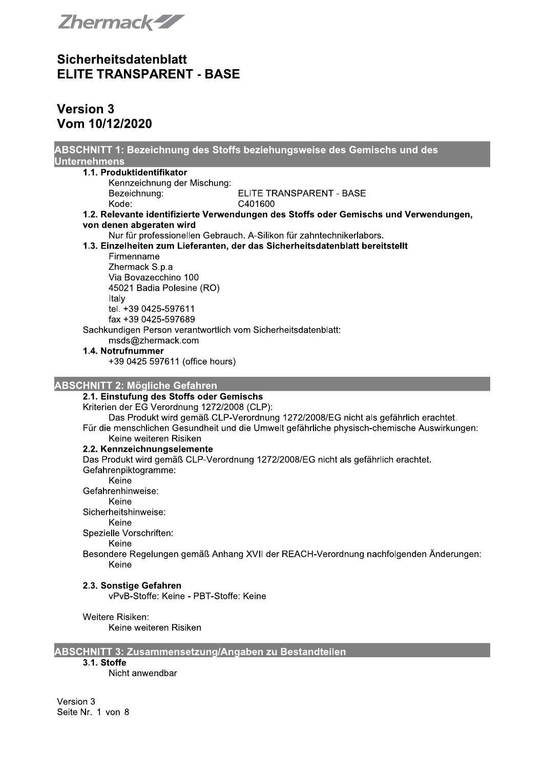

# **Version 3** Vom 10/12/2020

| ABSCHNITT 1: Bezeichnung des Stoffs beziehungsweise des Gemischs und des                    |
|---------------------------------------------------------------------------------------------|
| <b>Unternehmens</b>                                                                         |
| 1.1. Produktidentifikator                                                                   |
| Kennzeichnung der Mischung:                                                                 |
| Bezeichnung:<br>ELITE TRANSPARENT - BASE<br>Kode:<br>C401600                                |
| 1.2. Relevante identifizierte Verwendungen des Stoffs oder Gemischs und Verwendungen,       |
| von denen abgeraten wird                                                                    |
| Nur für professionellen Gebrauch. A-Silikon für zahntechnikerlabors.                        |
| 1.3. Einzelheiten zum Lieferanten, der das Sicherheitsdatenblatt bereitstellt               |
| Firmenname                                                                                  |
| Zhermack S.p.a                                                                              |
| Via Bovazecchino 100                                                                        |
| 45021 Badia Polesine (RO)                                                                   |
| Italy                                                                                       |
| tel. +39 0425-597611                                                                        |
| fax +39 0425-597689                                                                         |
| Sachkundigen Person verantwortlich vom Sicherheitsdatenblatt:<br>msds@zhermack.com          |
| 1.4. Notrufnummer                                                                           |
| +39 0425 597611 (office hours)                                                              |
|                                                                                             |
| <b>ABSCHNITT 2: Mögliche Gefahren</b>                                                       |
| 2.1. Einstufung des Stoffs oder Gemischs                                                    |
| Kriterien der EG Verordnung 1272/2008 (CLP):                                                |
| Das Produkt wird gemäß CLP-Verordnung 1272/2008/EG nicht als gefährlich erachtet.           |
| Für die menschlichen Gesundheit und die Umwelt gefährliche physisch-chemische Auswirkungen: |
| Keine weiteren Risiken                                                                      |
| 2.2. Kennzeichnungselemente                                                                 |
| Das Produkt wird gemäß CLP-Verordnung 1272/2008/EG nicht als gefährlich erachtet.           |
| Gefahrenpiktogramme:<br>Keine                                                               |
| Gefahrenhinweise:                                                                           |
| Keine                                                                                       |
| Sicherheitshinweise:                                                                        |
| Keine                                                                                       |
| Spezielle Vorschriften:                                                                     |
| Keine                                                                                       |
| Besondere Regelungen gemäß Anhang XVII der REACH-Verordnung nachfolgenden Änderungen:       |
| Keine                                                                                       |
| 2.3. Sonstige Gefahren                                                                      |
| vPvB-Stoffe: Keine - PBT-Stoffe: Keine                                                      |
|                                                                                             |
| Weitere Risiken:                                                                            |
| Keine weiteren Risiken                                                                      |
| ABSCHNITT 3: Zusammensetzung/Angaben zu Bestandteilen                                       |

## 3.1. Stoffe

Nicht anwendbar

Version 3 Seite Nr. 1 von 8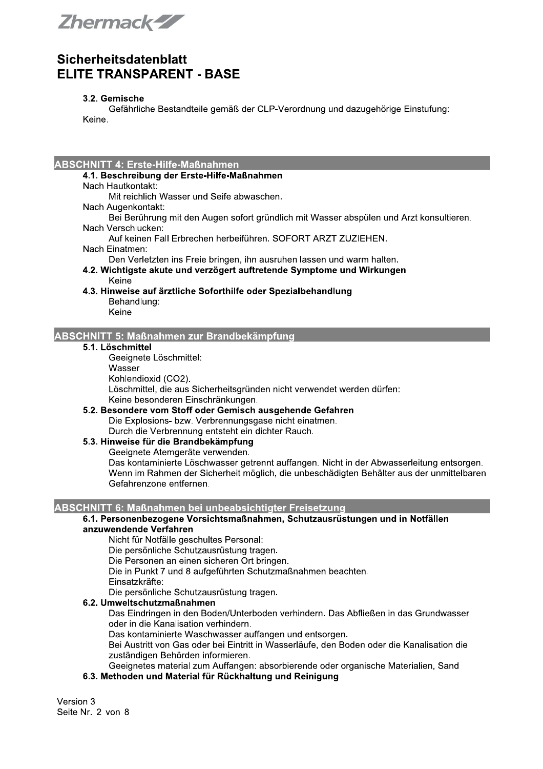Zhermack-ZZ

### 3.2. Gemische

Gefährliche Bestandteile gemäß der CLP-Verordnung und dazugehörige Einstufung: Keine.

#### **ABSCHNITT 4: Erste-Hilfe-Maßnahmen**

### 4.1. Beschreibung der Erste-Hilfe-Maßnahmen

Nach Hautkontakt:

Mit reichlich Wasser und Seife abwaschen.

- Nach Augenkontakt:
- Bei Berührung mit den Augen sofort gründlich mit Wasser abspülen und Arzt konsultieren. Nach Verschlucken:
- Auf keinen Fall Erbrechen herbeiführen. SOFORT ARZT ZUZIEHEN.
- Nach Einatmen:
- Den Verletzten ins Freie bringen, ihn ausruhen lassen und warm halten.
- 4.2. Wichtigste akute und verzögert auftretende Symptome und Wirkungen Keine
- 4.3. Hinweise auf ärztliche Soforthilfe oder Spezialbehandlung Behandlung:
	- Keine

#### **ABSCHNITT 5: Maßnahmen zur Brandbekämpfung**

#### 5.1. Löschmittel

Geeignete Löschmittel:

Wasser

Kohlendioxid (CO2).

Löschmittel, die aus Sicherheitsgründen nicht verwendet werden dürfen: Keine besonderen Einschränkungen.

5.2. Besondere vom Stoff oder Gemisch ausgehende Gefahren Die Explosions- bzw. Verbrennungsgase nicht einatmen. Durch die Verbrennung entsteht ein dichter Rauch.

5.3. Hinweise für die Brandbekämpfung

Geeignete Atemgeräte verwenden.

Das kontaminierte Löschwasser getrennt auffangen. Nicht in der Abwasserleitung entsorgen. Wenn im Rahmen der Sicherheit möglich, die unbeschädigten Behälter aus der unmittelbaren Gefahrenzone entfernen.

## ABSCHNITT 6: Maßnahmen bei unbeabsichtigter Freisetzung

#### 6.1. Personenbezogene Vorsichtsmaßnahmen, Schutzausrüstungen und in Notfällen anzuwendende Verfahren

Nicht für Notfälle geschultes Personal:

Die persönliche Schutzausrüstung tragen.

Die Personen an einen sicheren Ort bringen.

Die in Punkt 7 und 8 aufgeführten Schutzmaßnahmen beachten.

Einsatzkräfte:

Die persönliche Schutzausrüstung tragen.

## 6.2. Umweltschutzmaßnahmen

Das Eindringen in den Boden/Unterboden verhindern. Das Abfließen in das Grundwasser oder in die Kanalisation verhindern.

Das kontaminierte Waschwasser auffangen und entsorgen.

Bei Austritt von Gas oder bei Eintritt in Wasserläufe, den Boden oder die Kanalisation die zuständigen Behörden informieren.

Geeignetes material zum Auffangen: absorbierende oder organische Materialien, Sand

#### 6.3. Methoden und Material für Rückhaltung und Reinigung

Version 3 Seite Nr. 2 von 8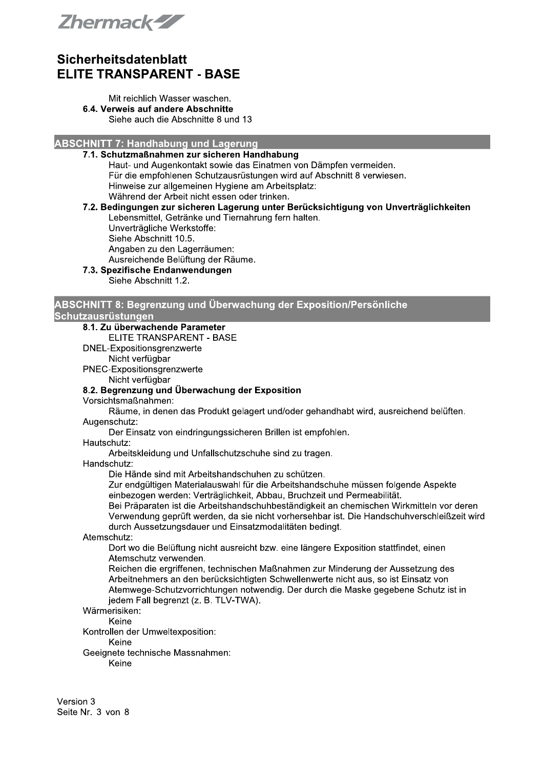Zhermack-ZZ

#### Mit reichlich Wasser waschen. 6.4. Verweis auf andere Abschnitte Siehe auch die Abschnitte 8 und 13

**ABSCHNITT 7: Handhabung und Lagerung** 

### 7.1. Schutzmaßnahmen zur sicheren Handhabung

Haut- und Augenkontakt sowie das Einatmen von Dämpfen vermeiden. Für die empfohlenen Schutzausrüstungen wird auf Abschnitt 8 verwiesen. Hinweise zur allgemeinen Hygiene am Arbeitsplatz: Während der Arbeit nicht essen oder trinken.

7.2. Bedingungen zur sicheren Lagerung unter Berücksichtigung von Unverträglichkeiten Lebensmittel, Getränke und Tiernahrung fern halten.

Unverträgliche Werkstoffe: Siehe Abschnitt 10.5.

Angaben zu den Lagerräumen:

Ausreichende Belüftung der Räume.

7.3. Spezifische Endanwendungen Siehe Abschnitt 1.2.

#### ABSCHNITT 8: Begrenzung und Überwachung der Exposition/Persönliche Schutzausrüstungen

## 8.1. Zu überwachende Parameter

ELITE TRANSPARENT - BASE

DNEL-Expositionsgrenzwerte

Nicht verfügbar

PNEC-Expositionsgrenzwerte Nicht verfügbar

## 8.2. Begrenzung und Überwachung der Exposition

Vorsichtsmaßnahmen:

Räume, in denen das Produkt gelagert und/oder gehandhabt wird, ausreichend belüften. Augenschutz:

Der Einsatz von eindringungssicheren Brillen ist empfohlen.

#### Hautschutz:

Arbeitskleidung und Unfallschutzschuhe sind zu tragen.

#### Handschutz:

Die Hände sind mit Arbeitshandschuhen zu schützen.

Zur endgültigen Materialauswahl für die Arbeitshandschuhe müssen folgende Aspekte einbezogen werden: Verträglichkeit, Abbau, Bruchzeit und Permeabilität.

Bei Präparaten ist die Arbeitshandschuhbeständigkeit an chemischen Wirkmitteln vor deren Verwendung geprüft werden, da sie nicht vorhersehbar ist. Die Handschuhverschleißzeit wird durch Aussetzungsdauer und Einsatzmodalitäten bedingt.

#### Atemschutz:

Dort wo die Belüftung nicht ausreicht bzw. eine längere Exposition stattfindet, einen Atemschutz verwenden.

Reichen die ergriffenen, technischen Maßnahmen zur Minderung der Aussetzung des Arbeitnehmers an den berücksichtigten Schwellenwerte nicht aus, so ist Einsatz von Atemwege-Schutzvorrichtungen notwendig. Der durch die Maske gegebene Schutz ist in jedem Fall begrenzt (z. B. TLV-TWA).

## Wärmerisiken:

Keine Kontrollen der Umweltexposition:

Keine

Geeignete technische Massnahmen:

Keine

Version 3 Seite Nr. 3 von 8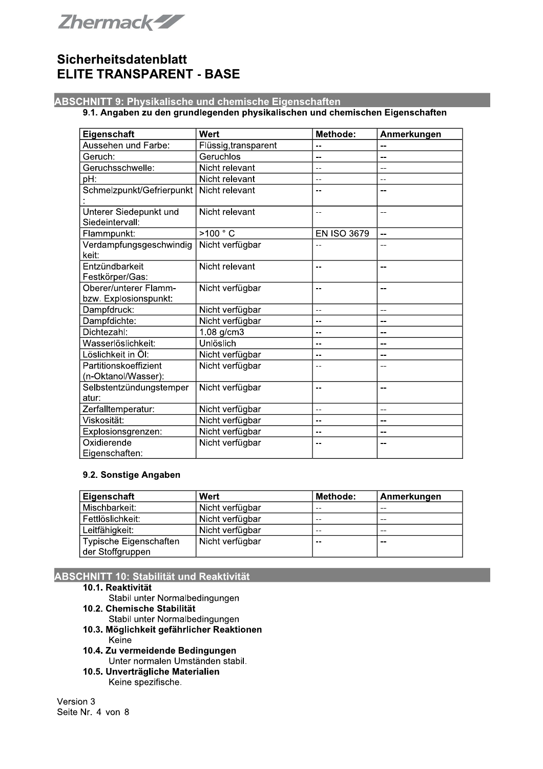

## **ABSCHNITT 9: Physikalische und chemische Eigenschaften**

### 9.1. Angaben zu den grundlegenden physikalischen und chemischen Eigenschaften

| Eigenschaft                                    | Wert                 | Methode:           | Anmerkungen              |
|------------------------------------------------|----------------------|--------------------|--------------------------|
| Aussehen und Farbe:                            | Flüssig, transparent |                    |                          |
| Geruch:                                        | Geruchlos            | --                 | --                       |
| Geruchsschwelle:                               | Nicht relevant       |                    | --                       |
| pH:                                            | Nicht relevant       | --                 | --                       |
| Schmelzpunkt/Gefrierpunkt                      | Nicht relevant       |                    |                          |
| Unterer Siedepunkt und<br>Siedeintervall:      | Nicht relevant       | --                 | --                       |
| Flammpunkt:                                    | >100 °C              | <b>EN ISO 3679</b> | $\overline{\phantom{a}}$ |
| Verdampfungsgeschwindig<br>keit:               | Nicht verfügbar      |                    | --                       |
| Entzündbarkeit<br>Festkörper/Gas:              | Nicht relevant       | --                 | $-$                      |
| Oberer/unterer Flamm-<br>bzw. Explosionspunkt: | Nicht verfügbar      | --                 | $-$                      |
| Dampfdruck:                                    | Nicht verfügbar      | --                 | $-$                      |
| Dampfdichte:                                   | Nicht verfügbar      | --                 | --                       |
| Dichtezahl:                                    | 1.08 g/cm3           | --                 | $-$                      |
| Wasserlöslichkeit:                             | Unlöslich            | --                 | --                       |
| Löslichkeit in Öl:                             | Nicht verfügbar      | --                 | --                       |
| Partitionskoeffizient<br>(n-Oktanol/Wasser):   | Nicht verfügbar      |                    | --                       |
| Selbstentzündungstemper<br>atur:               | Nicht verfügbar      | --                 | --                       |
| Zerfalltemperatur:                             | Nicht verfügbar      | $-$                | $-$                      |
| Viskosität:                                    | Nicht verfügbar      | --                 | --                       |
| Explosionsgrenzen:                             | Nicht verfügbar      | --                 | --                       |
| Oxidierende<br>Eigenschaften:                  | Nicht verfügbar      | --                 | --                       |

#### 9.2. Sonstige Angaben

| Eigenschaft            | Wert            | <b>Methode:</b> | Anmerkungen |
|------------------------|-----------------|-----------------|-------------|
| Mischbarkeit:          | Nicht verfügbar | $- -$           | $- -$       |
| Fettlöslichkeit:       | Nicht verfügbar | $- -$           | $- -$       |
| Leitfähigkeit:         | Nicht verfügbar | $- -$           | $- -$       |
| Typische Eigenschaften | Nicht verfügbar | $- -$           | $ -$        |
| der Stoffgruppen       |                 |                 |             |

## **ABSCHNITT 10: Stabilität und Reaktivität**

#### 10.1. Reaktivität

- Stabil unter Normalbedingungen
- 10.2. Chemische Stabilität
	- Stabil unter Normalbedingungen
- 10.3. Möglichkeit gefährlicher Reaktionen Keine
- 10.4. Zu vermeidende Bedingungen Unter normalen Umständen stabil.
- 10.5. Unverträgliche Materialien Keine spezifische.

Version 3 Seite Nr. 4 von 8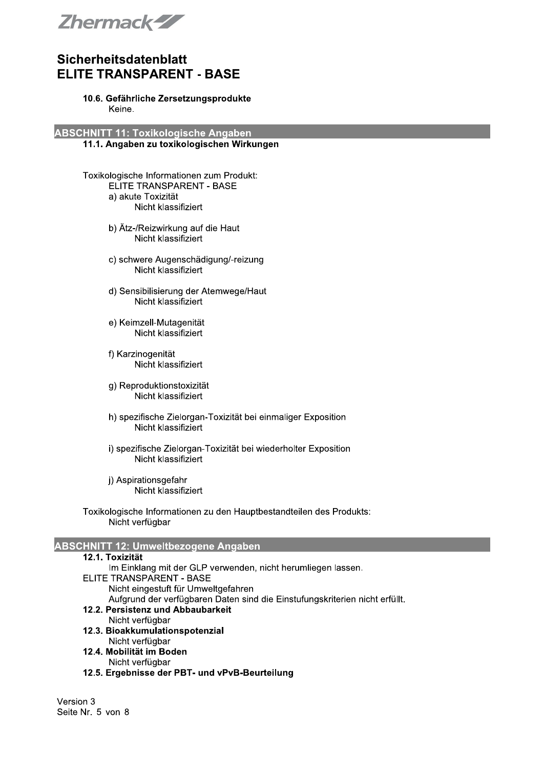

## Sicherheitsdatenblatt<br>—————————————— **ELITE TRANSPARENT - BASE**

#### 10.6. Geranriiche Zersetzungsprodukte Keine.

 ABSCHNITT 11: Toxikologische Angaben

#### 11.1. Angaben zu toxikologischen Wirkungen

- Toxikologische Informationen zum Produkt: ELITE TRANSPARENT - BASE a) akute Toxizität Nicht klassifiziert
	- $\overline{a}$ b) Atz-/Reizwirkung auf die Haut Nicht klassifiziert
	- c) schwere Augenschadigung/-reizung Nicht klassifiziert
	- i. d) Sensibilisierung der Atemwege/Haut Nicht klassifiziert
	- e) Kelmzell-Mutagenitat Nicht klassifiziert
	- $\mathbf{r}$ t) Karzinogenitat Nicht klassifiziert
	- g) Reproduktionstoxizitat Nicht klassifiziert
	- $\ddot{\phantom{a}}$ n) spezifische Zielorgan-Toxizitat bei einmaliger Exposition Nicht klassifiziert
	- $\mathbf{r}$  $\alpha$ ) spezifische Zielorgan-Toxizitat bei wiederholter Exposition Nicht klassifiziert
	- $\mathbb{R}^2$  $\Gamma$ ) Aspirationsgefahr Nicht klassifiziert
- Toxikologische Informationen zu den Hauptbestandtellen des Produkts: Nicht verfügbar

## ABSCHNITT 12: Umweltbezogene Angaben

| ABSCHNITT 12: Umweltbezogene Angaben                                        |  |
|-----------------------------------------------------------------------------|--|
| 12.1. Toxizität                                                             |  |
| Im Einklang mit der GLP verwenden, nicht herumliegen lassen.                |  |
| ELITE TRANSPARENT - BASE                                                    |  |
| Nicht eingestuft für Umweltgefahren                                         |  |
| Aufgrund der verfügbaren Daten sind die Einstufungskriterien nicht erfüllt. |  |
| 12.2. Persistenz und Abbaubarkeit                                           |  |
| Nicht verfügbar                                                             |  |
| 12.3. Bioakkumulationspotenzial                                             |  |
| Nicht verfügbar                                                             |  |
| 12.4. Mobilität im Boden                                                    |  |
| Nicht verfügbar                                                             |  |
| 12.5. Ergebnisse der PBT- und vPvB-Beurteilung                              |  |
|                                                                             |  |
|                                                                             |  |
| Version 3                                                                   |  |
| Seite Nr. 5 von 8                                                           |  |
|                                                                             |  |
|                                                                             |  |
|                                                                             |  |
|                                                                             |  |
|                                                                             |  |
|                                                                             |  |
|                                                                             |  |
|                                                                             |  |
|                                                                             |  |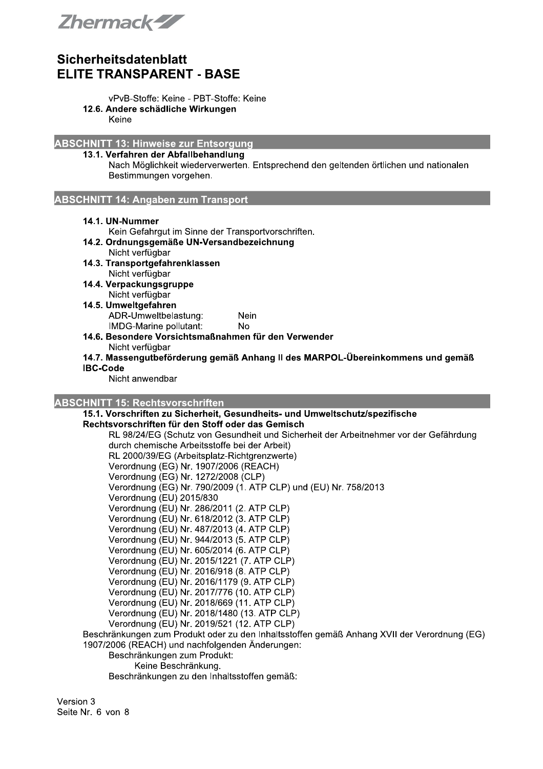

- vPvB-Stoffe: Keine PBT-Stoffe: Keine
- 12.6. Andere schädliche Wirkungen

Keine

**ABSCHNITT 13: Hinweise zur Entsorgung** 

## 13.1. Verfahren der Abfallbehandlung

Nach Möglichkeit wiederverwerten. Entsprechend den geltenden örtlichen und nationalen Bestimmungen vorgehen.

**ABSCHNITT 14: Angaben zum Transport** 

#### 14.1. UN-Nummer

Kein Gefahrgut im Sinne der Transportvorschriften.

- 14.2. Ordnungsgemäße UN-Versandbezeichnung Nicht verfügbar
- 14.3. Transportgefahrenklassen Nicht verfügbar
- 14.4. Verpackungsgruppe Nicht verfügbar
- 14.5. Umweltgefahren ADR-Umweltbelastung: Nein IMDG-Marine pollutant: **No**
- 14.6. Besondere Vorsichtsmaßnahmen für den Verwender Nicht verfügbar
- 14.7. Massengutbeförderung gemäß Anhang II des MARPOL-Übereinkommens und gemäß **IBC-Code**

Nicht anwendbar

### **ABSCHNITT 15: Rechtsvorschriften**

15.1. Vorschriften zu Sicherheit, Gesundheits- und Umweltschutz/spezifische Rechtsvorschriften für den Stoff oder das Gemisch

RL 98/24/EG (Schutz von Gesundheit und Sicherheit der Arbeitnehmer vor der Gefährdung durch chemische Arbeitsstoffe bei der Arbeit) RL 2000/39/EG (Arbeitsplatz-Richtgrenzwerte) Verordnung (EG) Nr. 1907/2006 (REACH) Verordnung (EG) Nr. 1272/2008 (CLP) Verordnung (EG) Nr. 790/2009 (1. ATP CLP) und (EU) Nr. 758/2013 Verordnung (EU) 2015/830 Verordnung (EU) Nr. 286/2011 (2. ATP CLP) Verordnung (EU) Nr. 618/2012 (3. ATP CLP) Verordnung (EU) Nr. 487/2013 (4. ATP CLP) Verordnung (EU) Nr. 944/2013 (5. ATP CLP) Verordnung (EU) Nr. 605/2014 (6. ATP CLP) Verordnung (EU) Nr. 2015/1221 (7. ATP CLP) Verordnung (EU) Nr. 2016/918 (8. ATP CLP) Verordnung (EU) Nr. 2016/1179 (9. ATP CLP) Verordnung (EU) Nr. 2017/776 (10. ATP CLP) Verordnung (EU) Nr. 2018/669 (11. ATP CLP) Verordnung (EU) Nr. 2018/1480 (13. ATP CLP) Verordnung (EU) Nr. 2019/521 (12. ATP CLP) Beschränkungen zum Produkt oder zu den Inhaltsstoffen gemäß Anhang XVII der Verordnung (EG) 1907/2006 (REACH) und nachfolgenden Änderungen: Beschränkungen zum Produkt: Keine Beschränkung.

Beschränkungen zu den Inhaltsstoffen gemäß:

Version 3 Seite Nr. 6 von 8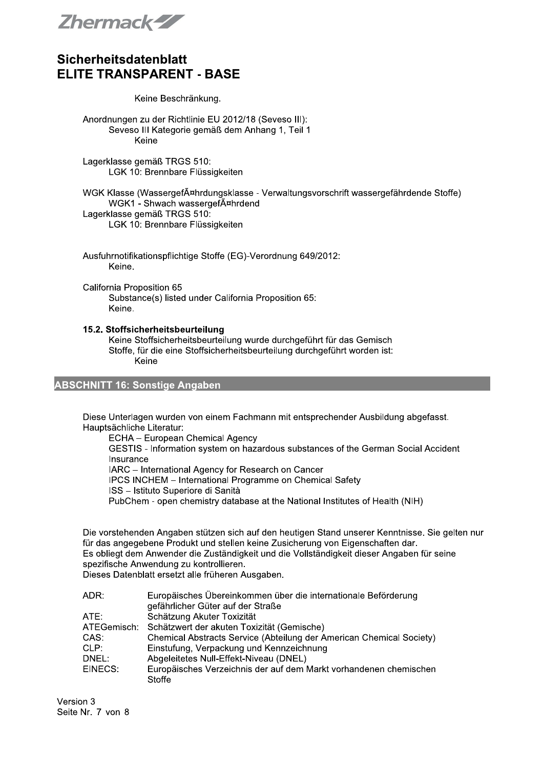Zhermack-ZZ

#### Keine Beschränkung.

Anordnungen zu der Richtlinie EU 2012/18 (Seveso III): Seveso III Kategorie gemäß dem Anhang 1, Teil 1 Keine

Lagerklasse gemäß TRGS 510: LGK 10: Brennbare Flüssigkeiten

WGK Klasse (WassergefĤhrdungsklasse - Verwaltungsvorschrift wassergefährdende Stoffe) WGK1 - Shwach wassergefĤhrdend Lagerklasse gemäß TRGS 510: LGK 10: Brennbare Flüssigkeiten

Ausfuhrnotifikationspflichtige Stoffe (EG)-Verordnung 649/2012: Keine.

California Proposition 65 Substance(s) listed under California Proposition 65: Keine.

#### 15.2. Stoffsicherheitsbeurteilung

Keine Stoffsicherheitsbeurteilung wurde durchgeführt für das Gemisch Stoffe, für die eine Stoffsicherheitsbeurteilung durchgeführt worden ist: Keine

## **ABSCHNITT 16: Sonstige Angaben**

Diese Unterlagen wurden von einem Fachmann mit entsprechender Ausbildung abgefasst. Hauptsächliche Literatur:

ECHA - European Chemical Agency

GESTIS - Information system on hazardous substances of the German Social Accident Insurance

IARC - International Agency for Research on Cancer

IPCS INCHEM - International Programme on Chemical Safety

ISS - Istituto Superiore di Sanità

PubChem - open chemistry database at the National Institutes of Health (NIH)

Die vorstehenden Angaben stützen sich auf den heutigen Stand unserer Kenntnisse. Sie gelten nur für das angegebene Produkt und stellen keine Zusicherung von Eigenschaften dar. Es obliegt dem Anwender die Zuständigkeit und die Vollständigkeit dieser Angaben für seine spezifische Anwendung zu kontrollieren.

Dieses Datenblatt ersetzt alle früheren Ausgaben.

| ADR:        | Europäisches Übereinkommen über die internationale Beförderung       |
|-------------|----------------------------------------------------------------------|
|             | gefährlicher Güter auf der Straße                                    |
| ATE:        | Schätzung Akuter Toxizität                                           |
| ATEGemisch: | Schätzwert der akuten Toxizität (Gemische)                           |
| CAS:        | Chemical Abstracts Service (Abteilung der American Chemical Society) |
| CLP:        | Einstufung, Verpackung und Kennzeichnung                             |
| DNEL:       | Abgeleitetes Null-Effekt-Niveau (DNEL)                               |
| EINECS:     | Europäisches Verzeichnis der auf dem Markt vorhandenen chemischen    |
|             | Stoffe                                                               |

Version 3 Seite Nr. 7 von 8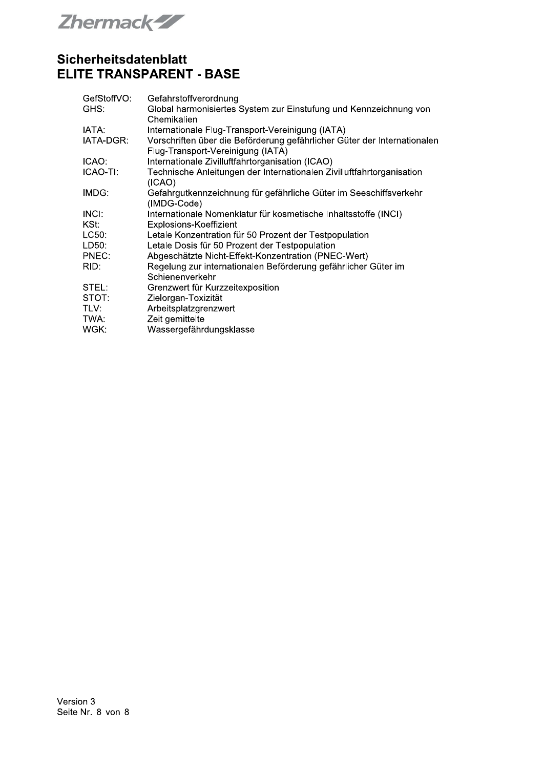**Zhermack-ZZ** 

| GefStoffVO: | Gefahrstoffverordnung                                                                                         |
|-------------|---------------------------------------------------------------------------------------------------------------|
| GHS:        | Global harmonisiertes System zur Einstufung und Kennzeichnung von<br>Chemikalien                              |
| IATA:       | Internationale Flug-Transport-Vereinigung (IATA)                                                              |
| IATA-DGR:   | Vorschriften über die Beförderung gefährlicher Güter der Internationalen<br>Flug-Transport-Vereinigung (IATA) |
| ICAO:       | Internationale Zivilluftfahrtorganisation (ICAO)                                                              |
| ICAO-TI:    | Technische Anleitungen der Internationalen Zivilluftfahrtorganisation<br>(ICAO)                               |
| IMDG:       | Gefahrgutkennzeichnung für gefährliche Güter im Seeschiffsverkehr<br>(IMDG-Code)                              |
| INCI:       | Internationale Nomenklatur für kosmetische Inhaltsstoffe (INCI)                                               |
| KSt:        | Explosions-Koeffizient                                                                                        |
| LC50:       | Letale Konzentration für 50 Prozent der Testpopulation                                                        |
| LD50:       | Letale Dosis für 50 Prozent der Testpopulation                                                                |
| PNEC:       | Abgeschätzte Nicht-Effekt-Konzentration (PNEC-Wert)                                                           |
| RID:        | Regelung zur internationalen Beförderung gefährlicher Güter im<br>Schienenverkehr                             |
| STEL:       | Grenzwert für Kurzzeitexposition                                                                              |
| STOT:       | Zielorgan-Toxizität                                                                                           |
| TLV:        | Arbeitsplatzgrenzwert                                                                                         |
| TWA:        | Zeit gemittelte                                                                                               |
| WGK:        | Wassergefährdungsklasse                                                                                       |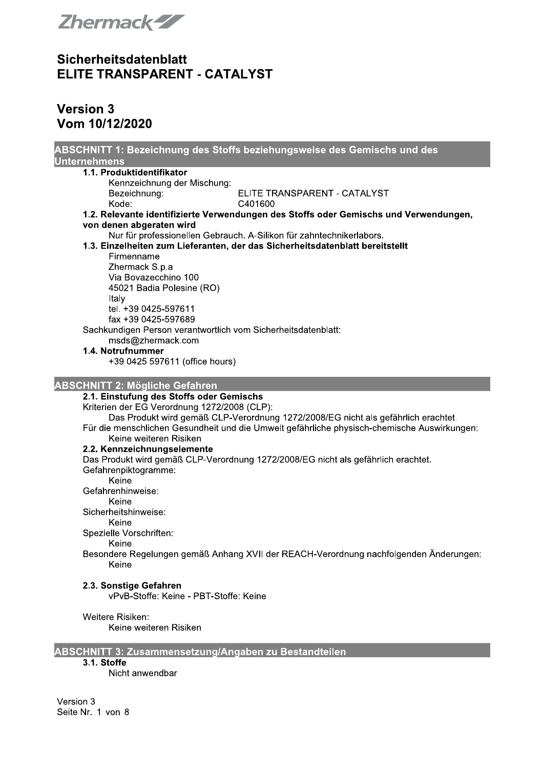

# **Version 3** Vom 10/12/2020

| ABSCHNITT 1: Bezeichnung des Stoffs beziehungsweise des Gemischs und des<br><b>Unternehmens</b> |
|-------------------------------------------------------------------------------------------------|
| 1.1. Produktidentifikator                                                                       |
| Kennzeichnung der Mischung:                                                                     |
| ELITE TRANSPARENT - CATALYST<br>Bezeichnung:                                                    |
| Kode:<br>C401600                                                                                |
| 1.2. Relevante identifizierte Verwendungen des Stoffs oder Gemischs und Verwendungen,           |
| von denen abgeraten wird                                                                        |
| Nur für professionellen Gebrauch. A-Silikon für zahntechnikerlabors.                            |
| 1.3. Einzelheiten zum Lieferanten, der das Sicherheitsdatenblatt bereitstellt                   |
| Firmenname                                                                                      |
| Zhermack S.p.a                                                                                  |
| Via Bovazecchino 100                                                                            |
| 45021 Badia Polesine (RO)                                                                       |
| Italy                                                                                           |
| tel. +39 0425-597611                                                                            |
| fax +39 0425-597689                                                                             |
| Sachkundigen Person verantwortlich vom Sicherheitsdatenblatt:                                   |
| msds@zhermack.com                                                                               |
| 1.4. Notrufnummer                                                                               |
| +39 0425 597611 (office hours)                                                                  |
|                                                                                                 |
| <b>ABSCHNITT 2: Mögliche Gefahren</b>                                                           |
| 2.1. Einstufung des Stoffs oder Gemischs                                                        |
| Kriterien der EG Verordnung 1272/2008 (CLP):                                                    |
| Das Produkt wird gemäß CLP-Verordnung 1272/2008/EG nicht als gefährlich erachtet.               |
| Für die menschlichen Gesundheit und die Umwelt gefährliche physisch-chemische Auswirkungen:     |
| Keine weiteren Risiken                                                                          |
| 2.2. Kennzeichnungselemente                                                                     |
| Das Produkt wird gemäß CLP-Verordnung 1272/2008/EG nicht als gefährlich erachtet.               |
| Gefahrenpiktogramme:                                                                            |
| Keine                                                                                           |
| Gefahrenhinweise:                                                                               |
| Keine                                                                                           |
| Sicherheitshinweise:                                                                            |
| Keine                                                                                           |
| Spezielle Vorschriften:                                                                         |
| Keine                                                                                           |
| Besondere Regelungen gemäß Anhang XVII der REACH-Verordnung nachfolgenden Änderungen:           |
| Keine                                                                                           |
|                                                                                                 |
| 2.3. Sonstige Gefahren                                                                          |
| vPvB-Stoffe: Keine - PBT-Stoffe: Keine                                                          |
|                                                                                                 |
| Weitere Risiken:                                                                                |
| Keine weiteren Risiken                                                                          |
|                                                                                                 |
| <b>ABSCHNITT 3: Zusammensetzung/Angaben zu Bestandteilen</b>                                    |

## 3.1. Stoffe

Nicht anwendbar

Version 3 Seite Nr. 1 von 8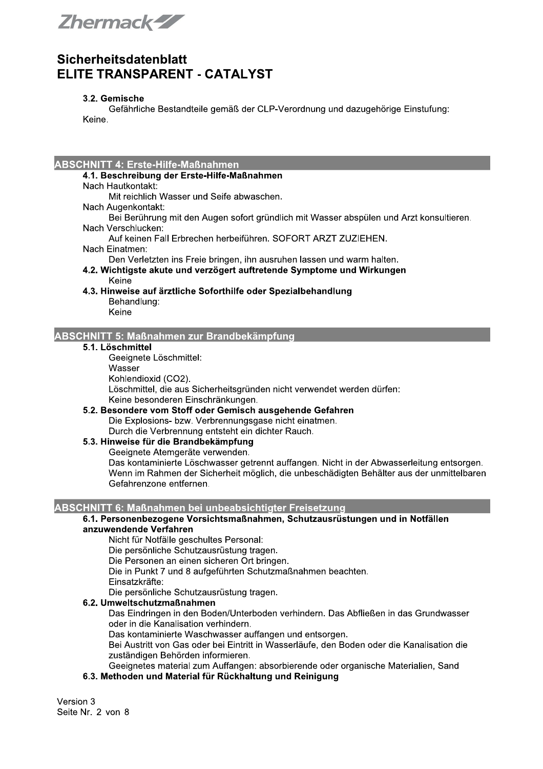Zhermack-ZZ

### 3.2. Gemische

Gefährliche Bestandteile gemäß der CLP-Verordnung und dazugehörige Einstufung: Keine.

#### **ABSCHNITT 4: Erste-Hilfe-Maßnahmen**

### 4.1. Beschreibung der Erste-Hilfe-Maßnahmen

Nach Hautkontakt:

Mit reichlich Wasser und Seife abwaschen.

- Nach Augenkontakt:
- Bei Berührung mit den Augen sofort gründlich mit Wasser abspülen und Arzt konsultieren. Nach Verschlucken:
- Auf keinen Fall Erbrechen herbeiführen. SOFORT ARZT ZUZIEHEN.
- Nach Einatmen:
	- Den Verletzten ins Freie bringen, ihn ausruhen lassen und warm halten.
- 4.2. Wichtigste akute und verzögert auftretende Symptome und Wirkungen Keine
- 4.3. Hinweise auf ärztliche Soforthilfe oder Spezialbehandlung Behandlung:
	- Keine

#### **ABSCHNITT 5: Maßnahmen zur Brandbekämpfung**

#### 5.1. Löschmittel

Geeignete Löschmittel:

Wasser

Kohlendioxid (CO2).

Löschmittel, die aus Sicherheitsgründen nicht verwendet werden dürfen: Keine besonderen Einschränkungen.

5.2. Besondere vom Stoff oder Gemisch ausgehende Gefahren Die Explosions- bzw. Verbrennungsgase nicht einatmen. Durch die Verbrennung entsteht ein dichter Rauch.

5.3. Hinweise für die Brandbekämpfung

Geeignete Atemgeräte verwenden.

Das kontaminierte Löschwasser getrennt auffangen. Nicht in der Abwasserleitung entsorgen. Wenn im Rahmen der Sicherheit möglich, die unbeschädigten Behälter aus der unmittelbaren Gefahrenzone entfernen.

## ABSCHNITT 6: Maßnahmen bei unbeabsichtigter Freisetzung

#### 6.1. Personenbezogene Vorsichtsmaßnahmen, Schutzausrüstungen und in Notfällen anzuwendende Verfahren

Nicht für Notfälle geschultes Personal:

Die persönliche Schutzausrüstung tragen.

Die Personen an einen sicheren Ort bringen.

Die in Punkt 7 und 8 aufgeführten Schutzmaßnahmen beachten.

Einsatzkräfte:

Die persönliche Schutzausrüstung tragen.

## 6.2. Umweltschutzmaßnahmen

Das Eindringen in den Boden/Unterboden verhindern. Das Abfließen in das Grundwasser oder in die Kanalisation verhindern.

Das kontaminierte Waschwasser auffangen und entsorgen.

Bei Austritt von Gas oder bei Eintritt in Wasserläufe, den Boden oder die Kanalisation die zuständigen Behörden informieren.

Geeignetes material zum Auffangen: absorbierende oder organische Materialien, Sand

#### 6.3. Methoden und Material für Rückhaltung und Reinigung

Version 3 Seite Nr. 2 von 8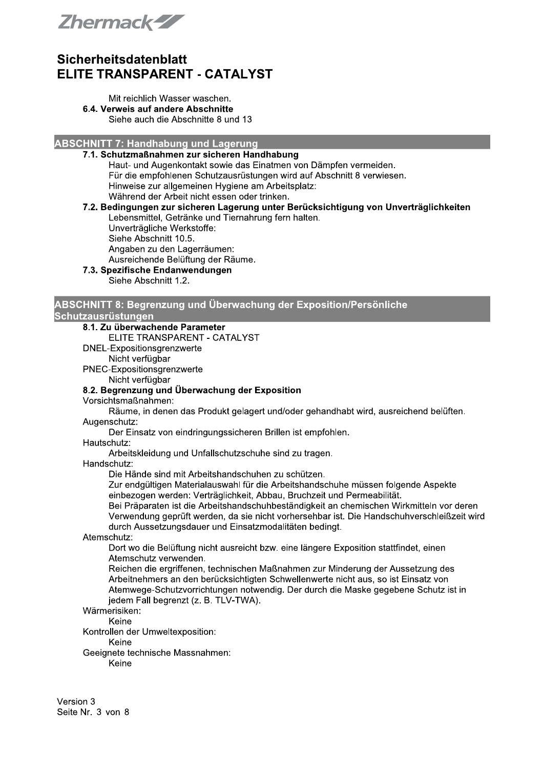Zhermack-ZZ

#### Mit reichlich Wasser waschen. 6.4. Verweis auf andere Abschnitte Siehe auch die Abschnitte 8 und 13

**ABSCHNITT 7: Handhabung und Lagerung** 

## 7.1. Schutzmaßnahmen zur sicheren Handhabung

Haut- und Augenkontakt sowie das Einatmen von Dämpfen vermeiden. Für die empfohlenen Schutzausrüstungen wird auf Abschnitt 8 verwiesen. Hinweise zur allgemeinen Hygiene am Arbeitsplatz: Während der Arbeit nicht essen oder trinken.

## 7.2. Bedingungen zur sicheren Lagerung unter Berücksichtigung von Unverträglichkeiten Lebensmittel, Getränke und Tiernahrung fern halten.

Unverträgliche Werkstoffe: Siehe Abschnitt 10.5.

Angaben zu den Lagerräumen:

Ausreichende Belüftung der Räume.

## 7.3. Spezifische Endanwendungen

Siehe Abschnitt 1.2.

#### ABSCHNITT 8: Begrenzung und Überwachung der Exposition/Persönliche Schutzausrüstungen

## 8.1. Zu überwachende Parameter

ELITE TRANSPARENT - CATALYST

DNEL-Expositionsgrenzwerte

### Nicht verfügbar

PNEC-Expositionsgrenzwerte Nicht verfügbar

## 8.2. Begrenzung und Überwachung der Exposition

Vorsichtsmaßnahmen:

Räume, in denen das Produkt gelagert und/oder gehandhabt wird, ausreichend belüften. Augenschutz:

Der Einsatz von eindringungssicheren Brillen ist empfohlen.

#### Hautschutz:

Arbeitskleidung und Unfallschutzschuhe sind zu tragen.

#### Handschutz:

Die Hände sind mit Arbeitshandschuhen zu schützen.

Zur endgültigen Materialauswahl für die Arbeitshandschuhe müssen folgende Aspekte einbezogen werden: Verträglichkeit, Abbau, Bruchzeit und Permeabilität.

Bei Präparaten ist die Arbeitshandschuhbeständigkeit an chemischen Wirkmitteln vor deren Verwendung geprüft werden, da sie nicht vorhersehbar ist. Die Handschuhverschleißzeit wird durch Aussetzungsdauer und Einsatzmodalitäten bedingt.

#### Atemschutz:

Dort wo die Belüftung nicht ausreicht bzw. eine längere Exposition stattfindet, einen Atemschutz verwenden.

Reichen die ergriffenen, technischen Maßnahmen zur Minderung der Aussetzung des Arbeitnehmers an den berücksichtigten Schwellenwerte nicht aus, so ist Einsatz von Atemwege-Schutzvorrichtungen notwendig. Der durch die Maske gegebene Schutz ist in jedem Fall begrenzt (z. B. TLV-TWA).

## Wärmerisiken:

Keine Kontrollen der Umweltexposition:

Keine

Geeignete technische Massnahmen:

Keine

Version 3 Seite Nr. 3 von 8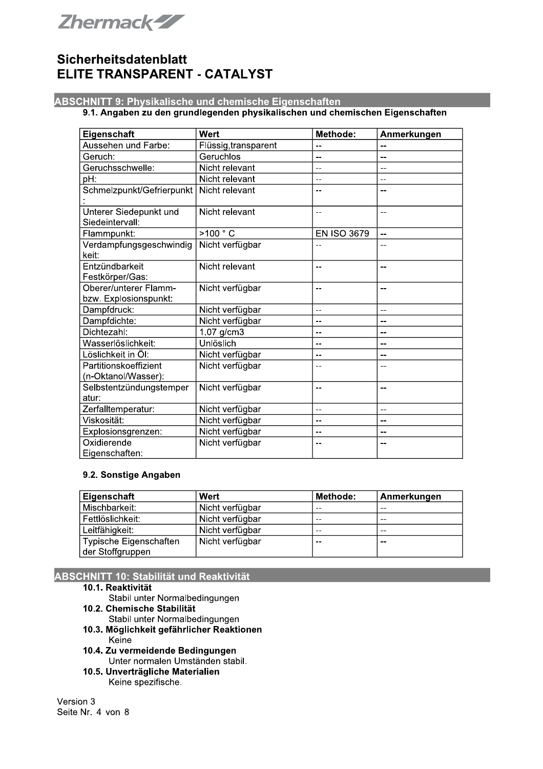

### **ABSCHNITT 9: Physikalische und chemische Eigenschaften**

### 9.1. Angaben zu den grundlegenden physikalischen und chemischen Eigenschaften

| Eigenschaft                                    | Wert                 | Methode:           | Anmerkungen |
|------------------------------------------------|----------------------|--------------------|-------------|
| Aussehen und Farbe:                            | Flüssig, transparent | --                 |             |
| Geruch:                                        | Geruchlos            | --                 | --          |
| Geruchsschwelle:                               | Nicht relevant       | --                 |             |
| pH:                                            | Nicht relevant       | --                 | $-$         |
| Schmelzpunkt/Gefrierpunkt                      | Nicht relevant       | --                 | --          |
| Unterer Siedepunkt und<br>Siedeintervall:      | Nicht relevant       | --                 | $-$         |
| Flammpunkt:                                    | >100 °C              | <b>EN ISO 3679</b> | $-$         |
| Verdampfungsgeschwindig<br>keit:               | Nicht verfügbar      |                    | --          |
| Entzündbarkeit<br>Festkörper/Gas:              | Nicht relevant       | --                 | $-$         |
| Oberer/unterer Flamm-<br>bzw. Explosionspunkt: | Nicht verfügbar      | --                 | --          |
| Dampfdruck:                                    | Nicht verfügbar      | --                 | --          |
| Dampfdichte:                                   | Nicht verfügbar      | --                 | --          |
| Dichtezahl:                                    | $1.07$ g/cm $3$      | $- -$              | --          |
| Wasserlöslichkeit:                             | Unlöslich            | --                 | --          |
| Löslichkeit in Öl:                             | Nicht verfügbar      | --                 | --          |
| Partitionskoeffizient<br>(n-Oktanol/Wasser):   | Nicht verfügbar      |                    | --          |
| Selbstentzündungstemper                        | Nicht verfügbar      | --                 | --          |
| atur:                                          |                      |                    |             |
| Zerfalltemperatur:                             | Nicht verfügbar      | $-$                | $-$         |
| Viskosität:                                    | Nicht verfügbar      | --                 | --          |
| Explosionsgrenzen:                             | Nicht verfügbar      | --                 | --          |
| Oxidierende                                    | Nicht verfügbar      | --                 | --          |
| Eigenschaften:                                 |                      |                    |             |

#### 9.2. Sonstige Angaben

| Eigenschaft            | Wert            | <b>Methode:</b> | Anmerkungen |
|------------------------|-----------------|-----------------|-------------|
| Mischbarkeit:          | Nicht verfügbar | $- -$           | $- -$       |
| Fettlöslichkeit:       | Nicht verfügbar | $- -$           | $- -$       |
| Leitfähigkeit:         | Nicht verfügbar | $- -$           | $- -$       |
| Typische Eigenschaften | Nicht verfügbar | $- -$           | $ -$        |
| der Stoffgruppen       |                 |                 |             |

## **ABSCHNITT 10: Stabilität und Reaktivität**

#### 10.1. Reaktivität

- Stabil unter Normalbedingungen
- 10.2. Chemische Stabilität
	- Stabil unter Normalbedingungen
- 10.3. Möglichkeit gefährlicher Reaktionen Keine
- 10.4. Zu vermeidende Bedingungen Unter normalen Umständen stabil.
- 10.5. Unverträgliche Materialien Keine spezifische.

Version 3 Seite Nr. 4 von 8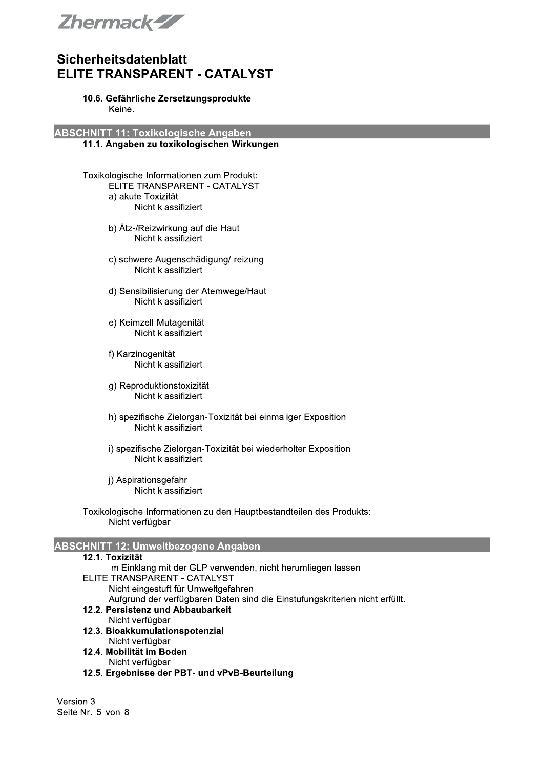

#### 10.6. Gefährliche Zersetzungsprodukte Keine.

**ABSCHNITT 11: Toxikologische Angaben** 

#### 11.1. Angaben zu toxikologischen Wirkungen

- Toxikologische Informationen zum Produkt: ELITE TRANSPARENT - CATALYST a) akute Toxizität Nicht klassifiziert
	- b) Ätz-/Reizwirkung auf die Haut Nicht klassifiziert
	- c) schwere Augenschädigung/-reizung Nicht klassifiziert
	- d) Sensibilisierung der Atemwege/Haut Nicht klassifiziert
	- e) Keimzell-Mutagenität Nicht klassifiziert
	- f) Karzinogenität Nicht klassifiziert
	- g) Reproduktionstoxizität Nicht klassifiziert
	- h) spezifische Zielorgan-Toxizität bei einmaliger Exposition Nicht klassifiziert
	- i) spezifische Zielorgan-Toxizität bei wiederholter Exposition Nicht klassifiziert
	- i) Aspirationsgefahr Nicht klassifiziert
- Toxikologische Informationen zu den Hauptbestandteilen des Produkts: Nicht verfügbar

### **ABSCHNITT 12: Umweltbezogene Angaben**

| 12.1. Toxizität                                                             |
|-----------------------------------------------------------------------------|
| Im Einklang mit der GLP verwenden, nicht herumliegen lassen.                |
| ELITE TRANSPARENT - CATALYST                                                |
| Nicht eingestuft für Umweltgefahren                                         |
| Aufgrund der verfügbaren Daten sind die Einstufungskriterien nicht erfüllt. |
| 12.2. Persistenz und Abbaubarkeit                                           |
| Nicht verfügbar                                                             |
| 12.3. Bioakkumulationspotenzial                                             |
| Nicht verfügbar                                                             |
| 12.4. Mobilität im Boden                                                    |
| Nicht verfügbar                                                             |
| 12.5. Ergebnisse der PBT- und vPvB-Beurteilung                              |

Version 3 Seite Nr. 5 von 8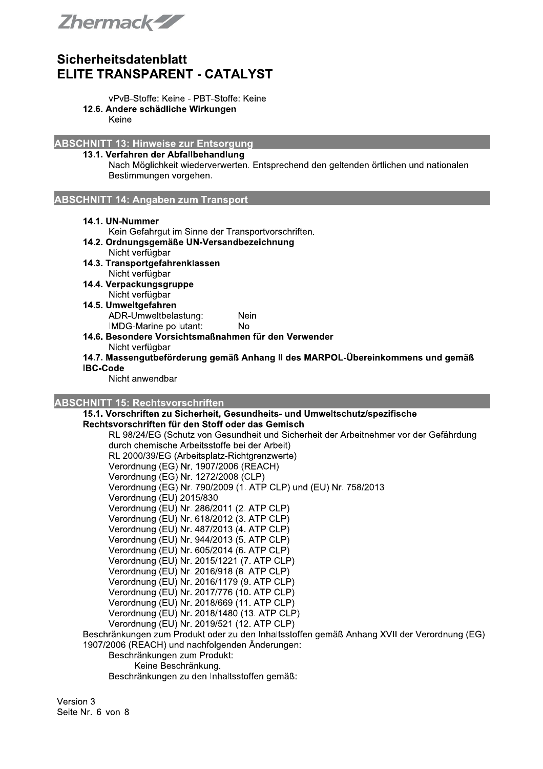

- vPvB-Stoffe: Keine PBT-Stoffe: Keine
- 12.6. Andere schädliche Wirkungen

Keine

**ABSCHNITT 13: Hinweise zur Entsorgung** 

## 13.1. Verfahren der Abfallbehandlung

Nach Möglichkeit wiederverwerten. Entsprechend den geltenden örtlichen und nationalen Bestimmungen vorgehen.

**ABSCHNITT 14: Angaben zum Transport** 

14.1. UN-Nummer

Kein Gefahrgut im Sinne der Transportvorschriften.

- 14.2. Ordnungsgemäße UN-Versandbezeichnung Nicht verfügbar
- 14.3. Transportgefahrenklassen Nicht verfügbar
- 14.4. Verpackungsgruppe Nicht verfügbar
- 14.5. Umweltgefahren ADR-Umweltbelastung: Nein IMDG-Marine pollutant: **No**
- 14.6. Besondere Vorsichtsmaßnahmen für den Verwender Nicht verfügbar
- 14.7. Massengutbeförderung gemäß Anhang II des MARPOL-Übereinkommens und gemäß **IBC-Code**

Nicht anwendbar

### **ABSCHNITT 15: Rechtsvorschriften**

15.1. Vorschriften zu Sicherheit, Gesundheits- und Umweltschutz/spezifische Rechtsvorschriften für den Stoff oder das Gemisch

RL 98/24/EG (Schutz von Gesundheit und Sicherheit der Arbeitnehmer vor der Gefährdung durch chemische Arbeitsstoffe bei der Arbeit) RL 2000/39/EG (Arbeitsplatz-Richtgrenzwerte) Verordnung (EG) Nr. 1907/2006 (REACH) Verordnung (EG) Nr. 1272/2008 (CLP) Verordnung (EG) Nr. 790/2009 (1. ATP CLP) und (EU) Nr. 758/2013 Verordnung (EU) 2015/830 Verordnung (EU) Nr. 286/2011 (2. ATP CLP) Verordnung (EU) Nr. 618/2012 (3. ATP CLP) Verordnung (EU) Nr. 487/2013 (4. ATP CLP) Verordnung (EU) Nr. 944/2013 (5. ATP CLP) Verordnung (EU) Nr. 605/2014 (6. ATP CLP) Verordnung (EU) Nr. 2015/1221 (7. ATP CLP) Verordnung (EU) Nr. 2016/918 (8. ATP CLP) Verordnung (EU) Nr. 2016/1179 (9. ATP CLP) Verordnung (EU) Nr. 2017/776 (10. ATP CLP) Verordnung (EU) Nr. 2018/669 (11. ATP CLP) Verordnung (EU) Nr. 2018/1480 (13. ATP CLP) Verordnung (EU) Nr. 2019/521 (12. ATP CLP) Beschränkungen zum Produkt oder zu den Inhaltsstoffen gemäß Anhang XVII der Verordnung (EG) 1907/2006 (REACH) und nachfolgenden Änderungen: Beschränkungen zum Produkt: Keine Beschränkung.

Beschränkungen zu den Inhaltsstoffen gemäß:

Version 3 Seite Nr. 6 von 8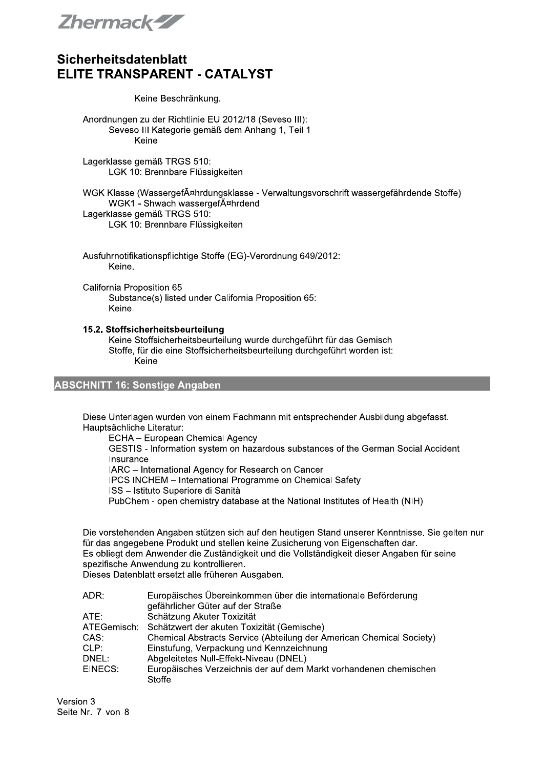Zhermack-ZZ

#### Keine Beschränkung.

Anordnungen zu der Richtlinie EU 2012/18 (Seveso III): Seveso III Kategorie gemäß dem Anhang 1, Teil 1 Keine

Lagerklasse gemäß TRGS 510: LGK 10: Brennbare Flüssigkeiten

WGK Klasse (WassergefĤhrdungsklasse - Verwaltungsvorschrift wassergefährdende Stoffe) WGK1 - Shwach wassergefĤhrdend Lagerklasse gemäß TRGS 510: LGK 10: Brennbare Flüssigkeiten

Ausfuhrnotifikationspflichtige Stoffe (EG)-Verordnung 649/2012: Keine.

California Proposition 65 Substance(s) listed under California Proposition 65: Keine.

#### 15.2. Stoffsicherheitsbeurteilung

Keine Stoffsicherheitsbeurteilung wurde durchgeführt für das Gemisch Stoffe, für die eine Stoffsicherheitsbeurteilung durchgeführt worden ist: Keine

## **ABSCHNITT 16: Sonstige Angaben**

Diese Unterlagen wurden von einem Fachmann mit entsprechender Ausbildung abgefasst. Hauptsächliche Literatur:

ECHA - European Chemical Agency

GESTIS - Information system on hazardous substances of the German Social Accident Insurance

IARC - International Agency for Research on Cancer

IPCS INCHEM - International Programme on Chemical Safety

ISS - Istituto Superiore di Sanità

PubChem - open chemistry database at the National Institutes of Health (NIH)

Die vorstehenden Angaben stützen sich auf den heutigen Stand unserer Kenntnisse. Sie gelten nur für das angegebene Produkt und stellen keine Zusicherung von Eigenschaften dar. Es obliegt dem Anwender die Zuständigkeit und die Vollständigkeit dieser Angaben für seine spezifische Anwendung zu kontrollieren.

Dieses Datenblatt ersetzt alle früheren Ausgaben.

| ADR:        | Europäisches Übereinkommen über die internationale Beförderung       |
|-------------|----------------------------------------------------------------------|
|             | gefährlicher Güter auf der Straße                                    |
| ATE:        | Schätzung Akuter Toxizität                                           |
| ATEGemisch: | Schätzwert der akuten Toxizität (Gemische)                           |
| CAS:        | Chemical Abstracts Service (Abteilung der American Chemical Society) |
| CLP:        | Einstufung, Verpackung und Kennzeichnung                             |
| DNEL:       | Abgeleitetes Null-Effekt-Niveau (DNEL)                               |
| EINECS:     | Europäisches Verzeichnis der auf dem Markt vorhandenen chemischen    |
|             | <b>Stoffe</b>                                                        |

Version 3 Seite Nr. 7 von 8